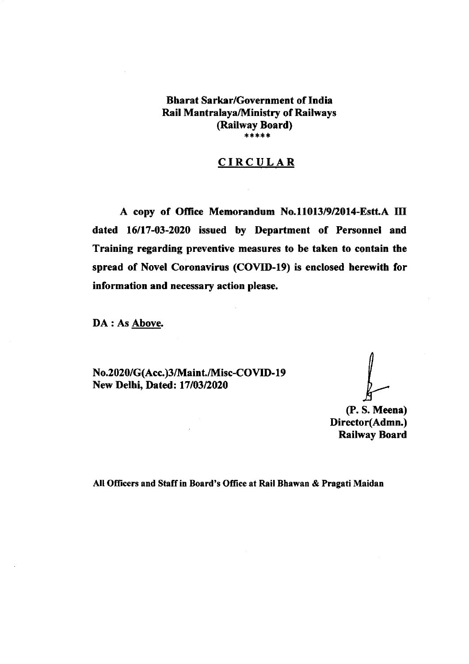# Bharat Sarkar/Government of India Rail MantralayaMinistry of Railways (Railway Board) \*\*\*\*\*

## CIRCULAR

A copy of Office Memorandum No.11013/9/2014-Estt.A III dated 16117-03-2020 issued by Department of Personnel and Training regarding preventive measures to be taken to contain the spread of Novel Coronavirus (COVID-l9) is enclosed herewith for information and necessary action please.

DA : As Above.

No.2020/G(Acc.)3/Maint./Misc-COVID-19 New Delhi, Dated: 17/03/2020

(P. S. Meena) Director(Admn.) Railway Board

All Officers and Staff in Board's Office at Rail Bhawan & Pragati Maidan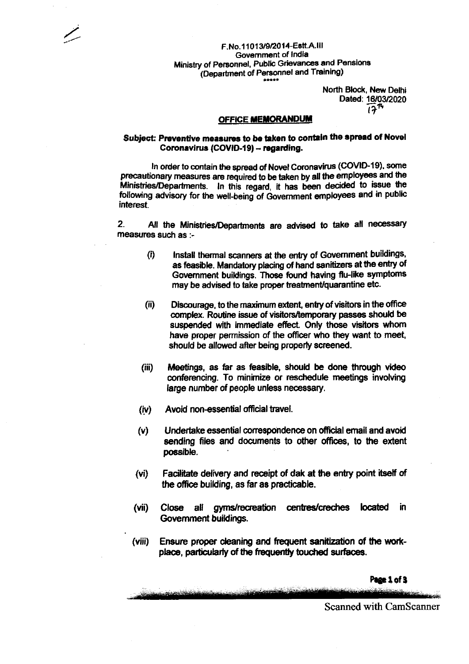### F.No.11013/9/2014-Estt.A.III Government of India Ministry of Personnel, Public Grievances and Pensions (Department of Personnel and Training)

North Block, New Delhi Dated: 16/03/2020  $17<sup>14</sup>$ 

#### **OFFICE MEMORANDUM**

### Subject: Preventive measures to be taken to contain the spread of Novel Coronavirus (COVID-19) - regarding.

In order to contain the spread of Novel Coronavirus (COVID-19), some precautionary measures are required to be taken by all the employees and the Ministries/Departments. In this regard, it has been decided to issue the following advisory for the well-being of Government employees and in public interest

 $2.$ All the Ministries/Departments are advised to take all necessary measures such as :-

- $(i)$ Install thermal scanners at the entry of Government buildings, as feasible. Mandatory placing of hand sanitizers at the entry of Government buildings. Those found having flu-like symptoms may be advised to take proper treatment/quarantine etc.
- $(ii)$ Discourage, to the maximum extent, entry of visitors in the office complex. Routine issue of visitors/temporary passes should be suspended with immediate effect. Only those visitors whom have proper permission of the officer who they want to meet, should be allowed after being properly screened.
- $(iii)$ Meetings, as far as feasible, should be done through video conferencing. To minimize or reschedule meetings involving large number of people unless necessary.
- Avoid non-essential official travel.  $(iv)$
- Undertake essential correspondence on official email and avoid  $(v)$ sending files and documents to other offices, to the extent possible.
- $(v<sub>i</sub>)$ Facilitate delivery and receipt of dak at the entry point itself of the office building, as far as practicable.
- $(vii)$ Close all gyms/recreation centres/creches located in Government buildings.
- $(viii)$ Ensure proper cleaning and frequent sanitization of the workplace, particularly of the frequently touched surfaces.

Page 1 of 3

**Scanned with CamScanner**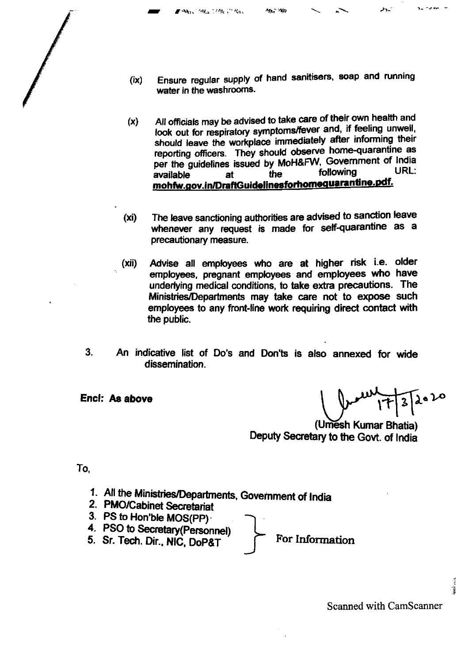Ensure regular supply of hand sanitisers, soap and running  $(ix)$ water in the washrooms.

MA NA

**Mrs.** Mrs. Mrs. "Res.

- All officials may be advised to take care of their own health and  $(x)$ look out for respiratory symptoms/fever and, if feeling unwell, should leave the workplace immediately after informing their reporting officers. They should observe home-quarantine as per the guidelines issued by MoH&FW, Government of India URL: following available the at mohfw.gov.in/DraftGuidelinesforhomequarantine.pdf.
- The leave sanctioning authorities are advised to sanction leave  $(x<sub>i</sub>)$ whenever any request is made for self-quarantine as a precautionary measure.
- Advise all employees who are at higher risk i.e. older  $(xii)$ employees, pregnant employees and employees who have underlying medical conditions, to take extra precautions. The Ministries/Departments may take care not to expose such employees to any front-line work requiring direct contact with the public.
- $3<sub>1</sub>$ An indicative list of Do's and Don'ts is also annexed for wide dissemination.

Encl: As above

۔ در

(Umesh Kumar Bhatia) Deputy Secretary to the Govt. of India

To.

- 1. All the Ministries/Departments, Government of India
- 2. PMO/Cabinet Secretariat
- 3. PS to Hon'ble MOS(PP)
- 4. PSO to Secretary (Personnel)
- 5. Sr. Tech. Dir., NIC, DoP&T

For Information

**Scanned with CamScanner** 

Ť